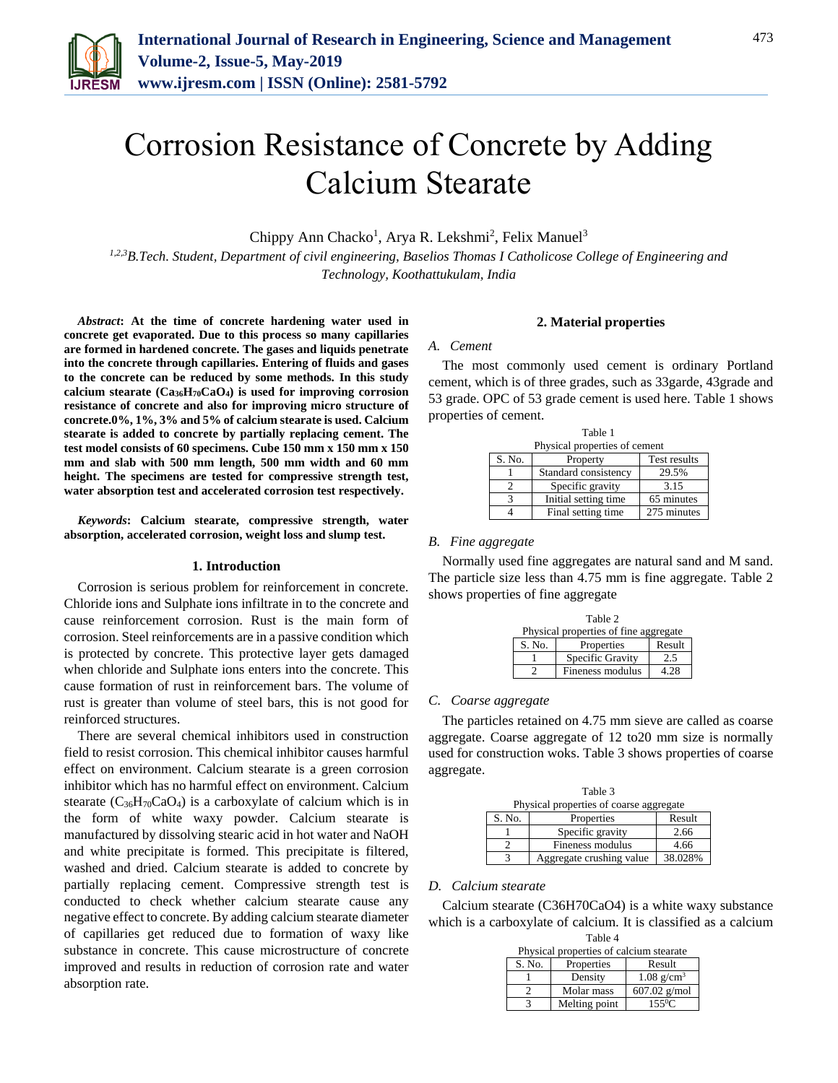

# Corrosion Resistance of Concrete by Adding Calcium Stearate

Chippy Ann Chacko<sup>1</sup>, Arya R. Lekshmi<sup>2</sup>, Felix Manuel<sup>3</sup>

*1,2,3B.Tech. Student, Department of civil engineering, Baselios Thomas I Catholicose College of Engineering and Technology, Koothattukulam, India*

*Abstract***: At the time of concrete hardening water used in concrete get evaporated. Due to this process so many capillaries are formed in hardened concrete. The gases and liquids penetrate into the concrete through capillaries. Entering of fluids and gases to the concrete can be reduced by some methods. In this study calcium stearate (Ca36H70CaO4) is used for improving corrosion resistance of concrete and also for improving micro structure of concrete.0%, 1%, 3% and 5% of calcium stearate is used. Calcium stearate is added to concrete by partially replacing cement. The test model consists of 60 specimens. Cube 150 mm x 150 mm x 150 mm and slab with 500 mm length, 500 mm width and 60 mm height. The specimens are tested for compressive strength test, water absorption test and accelerated corrosion test respectively.** 

*Keywords***: Calcium stearate, compressive strength, water absorption, accelerated corrosion, weight loss and slump test.**

### **1. Introduction**

Corrosion is serious problem for reinforcement in concrete. Chloride ions and Sulphate ions infiltrate in to the concrete and cause reinforcement corrosion. Rust is the main form of corrosion. Steel reinforcements are in a passive condition which is protected by concrete. This protective layer gets damaged when chloride and Sulphate ions enters into the concrete. This cause formation of rust in reinforcement bars. The volume of rust is greater than volume of steel bars, this is not good for reinforced structures.

There are several chemical inhibitors used in construction field to resist corrosion. This chemical inhibitor causes harmful effect on environment. Calcium stearate is a green corrosion inhibitor which has no harmful effect on environment. Calcium stearate  $(C_{36}H_{70}CaO_4)$  is a carboxylate of calcium which is in the form of white waxy powder. Calcium stearate is manufactured by dissolving stearic acid in hot water and NaOH and white precipitate is formed. This precipitate is filtered, washed and dried. Calcium stearate is added to concrete by partially replacing cement. Compressive strength test is conducted to check whether calcium stearate cause any negative effect to concrete. By adding calcium stearate diameter of capillaries get reduced due to formation of waxy like substance in concrete. This cause microstructure of concrete improved and results in reduction of corrosion rate and water absorption rate.

## **2. Material properties**

#### *A. Cement*

The most commonly used cement is ordinary Portland cement, which is of three grades, such as 33garde, 43grade and 53 grade. OPC of 53 grade cement is used here. Table 1 shows properties of cement.

| Table 1                       |                      |                     |
|-------------------------------|----------------------|---------------------|
| Physical properties of cement |                      |                     |
| S. No.                        | Property             | <b>Test results</b> |
|                               | Standard consistency | 29.5%               |
|                               | Specific gravity     | 3.15                |
|                               | Initial setting time | 65 minutes          |
|                               | Final setting time   | 275 minutes         |

## *B. Fine aggregate*

Normally used fine aggregates are natural sand and M sand. The particle size less than 4.75 mm is fine aggregate. Table 2 shows properties of fine aggregate

| Table 2                               |                  |        |  |  |
|---------------------------------------|------------------|--------|--|--|
| Physical properties of fine aggregate |                  |        |  |  |
| S. No.                                | Properties       | Result |  |  |
|                                       | Specific Gravity | 2.5    |  |  |
|                                       | Fineness modulus | 4.28   |  |  |

### *C. Coarse aggregate*

The particles retained on 4.75 mm sieve are called as coarse aggregate. Coarse aggregate of 12 to20 mm size is normally used for construction woks. Table 3 shows properties of coarse aggregate.

| Table 3                                 |                          |         |  |
|-----------------------------------------|--------------------------|---------|--|
| Physical properties of coarse aggregate |                          |         |  |
| S. No.                                  | Properties               | Result  |  |
|                                         | Specific gravity         | 2.66    |  |
|                                         | Fineness modulus         | 4.66    |  |
|                                         | Aggregate crushing value | 38.028% |  |

#### *D. Calcium stearate*

Calcium stearate (C36H70CaO4) is a white waxy substance which is a carboxylate of calcium. It is classified as a calcium Table 4

| Physical properties of calcium stearate |               |                          |  |
|-----------------------------------------|---------------|--------------------------|--|
| S. No.                                  | Properties    | Result                   |  |
|                                         | Density       | $1.08$ g/cm <sup>3</sup> |  |
|                                         | Molar mass    | $607.02$ g/mol           |  |
|                                         | Melting point | $155^0C$                 |  |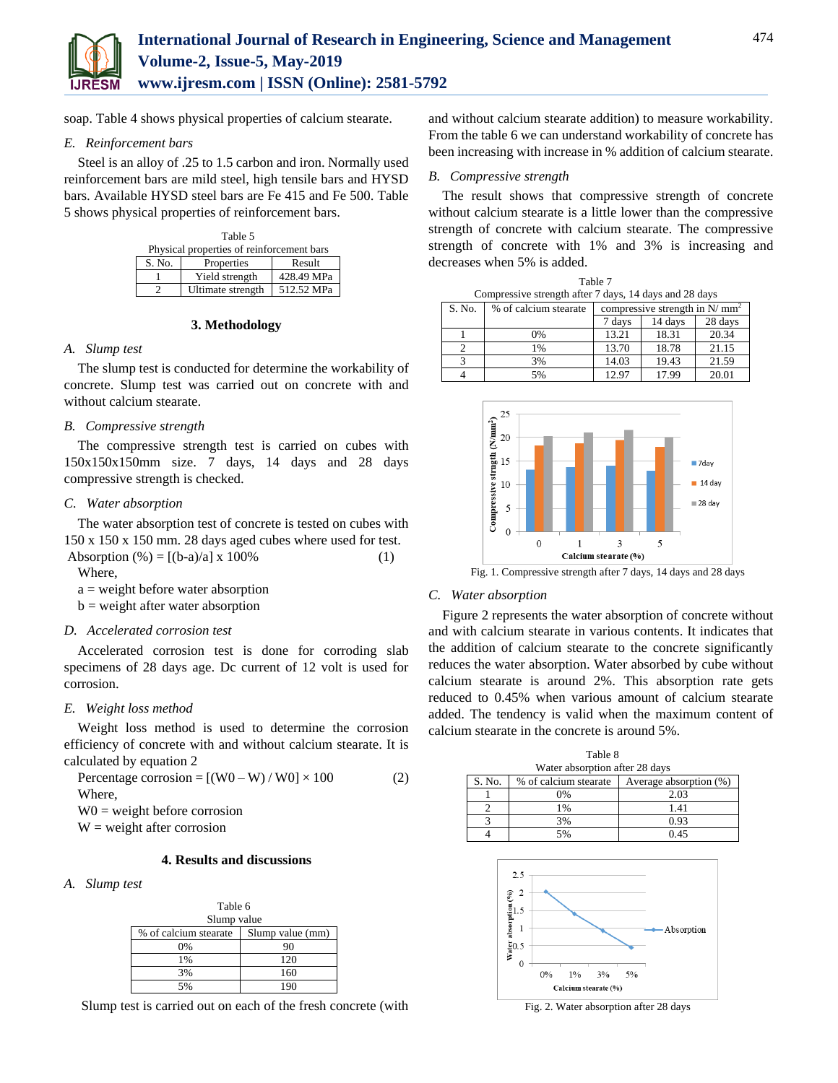

soap. Table 4 shows physical properties of calcium stearate.

## *E. Reinforcement bars*

Steel is an alloy of .25 to 1.5 carbon and iron. Normally used reinforcement bars are mild steel, high tensile bars and HYSD bars. Available HYSD steel bars are Fe 415 and Fe 500. Table 5 shows physical properties of reinforcement bars.

| Table 5                                   |                   |            |
|-------------------------------------------|-------------------|------------|
| Physical properties of reinforcement bars |                   |            |
| S. No.                                    | Properties        | Result     |
|                                           | Yield strength    | 428.49 MPa |
|                                           | Ultimate strength | 512.52 MPa |

## **3. Methodology**

### *A. Slump test*

The slump test is conducted for determine the workability of concrete. Slump test was carried out on concrete with and without calcium stearate.

## *B. Compressive strength*

The compressive strength test is carried on cubes with 150x150x150mm size. 7 days, 14 days and 28 days compressive strength is checked.

## *C. Water absorption*

The water absorption test of concrete is tested on cubes with 150 x 150 x 150 mm. 28 days aged cubes where used for test. Absorption  $% = [(b-a)/a] \times 100\%$  (1)

Where,

 $a =$  weight before water absorption

 $b$  = weight after water absorption

## *D. Accelerated corrosion test*

Accelerated corrosion test is done for corroding slab specimens of 28 days age. Dc current of 12 volt is used for corrosion.

## *E. Weight loss method*

Weight loss method is used to determine the corrosion efficiency of concrete with and without calcium stearate. It is calculated by equation 2

| Percentage corrosion = $[(W0 - W)/W0] \times 100$ | (2) |
|---------------------------------------------------|-----|
| Where.                                            |     |
| $W0$ = weight before corrosion                    |     |

 $W = weight$  after corrosion

# **4. Results and discussions**

### *A. Slump test*

| Table 6               |                  |  |
|-----------------------|------------------|--|
| Slump value           |                  |  |
| % of calcium stearate | Slump value (mm) |  |
| $0\%$                 |                  |  |
| 1%                    | 120              |  |
| 3%                    | 160              |  |
| 5%                    |                  |  |

Slump test is carried out on each of the fresh concrete (with

and without calcium stearate addition) to measure workability. From the table 6 we can understand workability of concrete has been increasing with increase in % addition of calcium stearate.

### *B. Compressive strength*

The result shows that compressive strength of concrete without calcium stearate is a little lower than the compressive strength of concrete with calcium stearate. The compressive strength of concrete with 1% and 3% is increasing and decreases when 5% is added.

| Table 7       |                                                        |                                  |         |         |
|---------------|--------------------------------------------------------|----------------------------------|---------|---------|
|               | Compressive strength after 7 days, 14 days and 28 days |                                  |         |         |
| S. No.        | % of calcium stearate                                  | compressive strength in $N/mm^2$ |         |         |
|               |                                                        | 7 days                           | 14 days | 28 days |
|               | 0%                                                     | 13.21                            | 18.31   | 20.34   |
| $\mathcal{D}$ | 1%                                                     | 13.70                            | 18.78   | 21.15   |
| 3             | 3%                                                     | 14.03                            | 19.43   | 21.59   |
|               | 5%                                                     | 12.97                            | 17.99   | 20.01   |



### *C. Water absorption*

Figure 2 represents the water absorption of concrete without and with calcium stearate in various contents. It indicates that the addition of calcium stearate to the concrete significantly reduces the water absorption. Water absorbed by cube without calcium stearate is around 2%. This absorption rate gets reduced to 0.45% when various amount of calcium stearate added. The tendency is valid when the maximum content of calcium stearate in the concrete is around 5%.

| Table 8<br>Water absorption after 28 days |                       |                        |  |
|-------------------------------------------|-----------------------|------------------------|--|
| S. No.                                    | % of calcium stearate | Average absorption (%) |  |
|                                           | 0%                    | 2.03                   |  |
|                                           | $1\%$                 | 1.41                   |  |
|                                           | 3%                    | 0.93                   |  |
|                                           | 5%                    | 0.45                   |  |